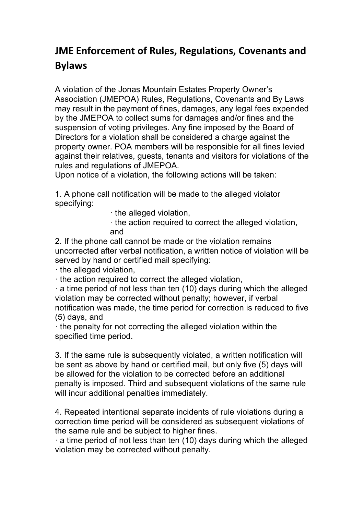## **JME Enforcement of Rules, Regulations, Covenants and Bylaws**

A violation of the Jonas Mountain Estates Property Owner's Association (JMEPOA) Rules, Regulations, Covenants and By Laws may result in the payment of fines, damages, any legal fees expended by the JMEPOA to collect sums for damages and/or fines and the suspension of voting privileges. Any fine imposed by the Board of Directors for a violation shall be considered a charge against the property owner. POA members will be responsible for all fines levied against their relatives, guests, tenants and visitors for violations of the rules and regulations of JMEPOA.

Upon notice of a violation, the following actions will be taken:

1. A phone call notification will be made to the alleged violator specifying:

- · the alleged violation,
- · the action required to correct the alleged violation, and

2. If the phone call cannot be made or the violation remains uncorrected after verbal notification, a written notice of violation will be served by hand or certified mail specifying:

· the alleged violation,

· the action required to correct the alleged violation,

 $\cdot$  a time period of not less than ten (10) days during which the alleged violation may be corrected without penalty; however, if verbal notification was made, the time period for correction is reduced to five (5) days, and

· the penalty for not correcting the alleged violation within the specified time period.

3. If the same rule is subsequently violated, a written notification will be sent as above by hand or certified mail, but only five (5) days will be allowed for the violation to be corrected before an additional penalty is imposed. Third and subsequent violations of the same rule will incur additional penalties immediately.

4. Repeated intentional separate incidents of rule violations during a correction time period will be considered as subsequent violations of the same rule and be subject to higher fines.

 $\cdot$  a time period of not less than ten (10) days during which the alleged violation may be corrected without penalty.